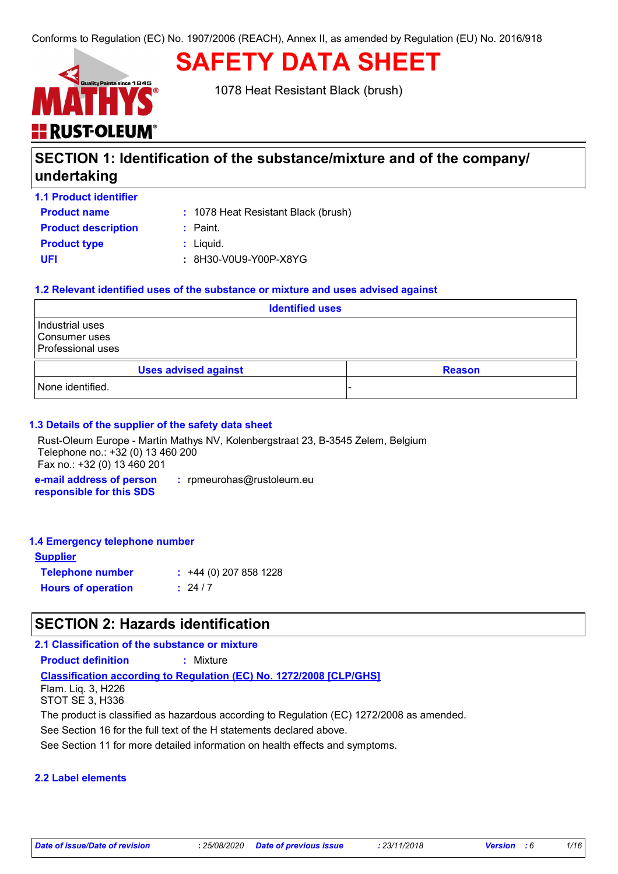# **HE RUST-OLEUM**

1078 Heat Resistant Black (brush)

**SAFETY DATA SHEET**

# **SECTION 1: Identification of the substance/mixture and of the company/ undertaking**

| <b>1.1 Product identifier</b> |                                     |
|-------------------------------|-------------------------------------|
| <b>Product name</b>           | : 1078 Heat Resistant Black (brush) |
| <b>Product description</b>    | : Paint.                            |
| <b>Product type</b>           | $:$ Liquid.                         |
| UFI                           | : 8H30-V0U9-Y00P-X8YG               |

# **1.2 Relevant identified uses of the substance or mixture and uses advised against**

| <b>Identified uses</b>                                |               |  |
|-------------------------------------------------------|---------------|--|
| Industrial uses<br>Consumer uses<br>Professional uses |               |  |
| <b>Uses advised against</b>                           | <b>Reason</b> |  |
| None identified.                                      |               |  |

# **1.3 Details of the supplier of the safety data sheet**

Rust-Oleum Europe - Martin Mathys NV, Kolenbergstraat 23, B-3545 Zelem, Belgium Telephone no.: +32 (0) 13 460 200 Fax no.: +32 (0) 13 460 201

**e-mail address of person responsible for this SDS :** rpmeurohas@rustoleum.eu

#### **1.4 Emergency telephone number**

| <b>Supplier</b>           |                             |
|---------------------------|-----------------------------|
| <b>Telephone number</b>   | $\div$ +44 (0) 207 858 1228 |
| <b>Hours of operation</b> | : 24/7                      |

# **SECTION 2: Hazards identification**

# **2.1 Classification of the substance or mixture**

**Product definition : Mixture** 

**Classification according to Regulation (EC) No. 1272/2008 [CLP/GHS]** Flam. Liq. 3, H226

STOT SE 3, H336

The product is classified as hazardous according to Regulation (EC) 1272/2008 as amended.

See Section 16 for the full text of the H statements declared above.

See Section 11 for more detailed information on health effects and symptoms.

#### **2.2 Label elements**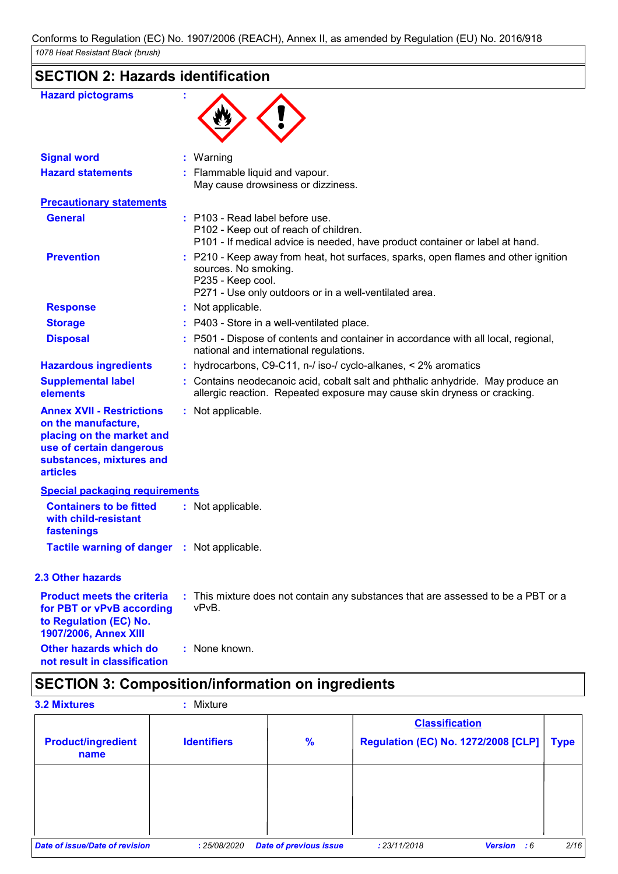# **SECTION 2: Hazards identification**

| <b>Hazard pictograms</b>                                                                                                                                        |                                                                                                                                                             |
|-----------------------------------------------------------------------------------------------------------------------------------------------------------------|-------------------------------------------------------------------------------------------------------------------------------------------------------------|
| <b>Signal word</b>                                                                                                                                              | : Warning                                                                                                                                                   |
| <b>Hazard statements</b>                                                                                                                                        | : Flammable liquid and vapour.<br>May cause drowsiness or dizziness.                                                                                        |
| <b>Precautionary statements</b>                                                                                                                                 |                                                                                                                                                             |
| <b>General</b>                                                                                                                                                  | : P103 - Read label before use.<br>P102 - Keep out of reach of children.<br>P101 - If medical advice is needed, have product container or label at hand.    |
| <b>Prevention</b>                                                                                                                                               | : P210 - Keep away from heat, hot surfaces, sparks, open flames and other ignition<br>sources. No smoking.<br>P235 - Keep cool.                             |
| <b>Response</b>                                                                                                                                                 | P271 - Use only outdoors or in a well-ventilated area.<br>: Not applicable.                                                                                 |
| <b>Storage</b>                                                                                                                                                  | : P403 - Store in a well-ventilated place.                                                                                                                  |
| <b>Disposal</b>                                                                                                                                                 | : P501 - Dispose of contents and container in accordance with all local, regional,<br>national and international regulations.                               |
| <b>Hazardous ingredients</b>                                                                                                                                    | : hydrocarbons, C9-C11, n-/ iso-/ cyclo-alkanes, $\lt 2\%$ aromatics                                                                                        |
| <b>Supplemental label</b><br>elements                                                                                                                           | : Contains neodecanoic acid, cobalt salt and phthalic anhydride. May produce an<br>allergic reaction. Repeated exposure may cause skin dryness or cracking. |
| <b>Annex XVII - Restrictions</b><br>on the manufacture,<br>placing on the market and<br>use of certain dangerous<br>substances, mixtures and<br><b>articles</b> | : Not applicable.                                                                                                                                           |
| <b>Special packaging requirements</b>                                                                                                                           |                                                                                                                                                             |
| <b>Containers to be fitted</b><br>with child-resistant<br>fastenings                                                                                            | : Not applicable.                                                                                                                                           |
| Tactile warning of danger : Not applicable.                                                                                                                     |                                                                                                                                                             |
| <b>2.3 Other hazards</b>                                                                                                                                        |                                                                                                                                                             |
| <b>Product meets the criteria</b><br>for PBT or vPvB according<br>to Regulation (EC) No.<br>1907/2006, Annex XIII                                               | : This mixture does not contain any substances that are assessed to be a PBT or a<br>vPvB.                                                                  |
| Other hazards which do<br>not result in classification                                                                                                          | : None known.                                                                                                                                               |

# **SECTION 3: Composition/information on ingredients**

| <b>3.2 Mixtures</b>               | Mixture<br>٠       |                               |                                                                     |                      |             |
|-----------------------------------|--------------------|-------------------------------|---------------------------------------------------------------------|----------------------|-------------|
| <b>Product/ingredient</b><br>name | <b>Identifiers</b> | $\frac{9}{6}$                 | <b>Classification</b><br><b>Regulation (EC) No. 1272/2008 [CLP]</b> |                      | <b>Type</b> |
|                                   |                    |                               |                                                                     |                      |             |
|                                   |                    |                               |                                                                     |                      |             |
| Date of issue/Date of revision    | : 25/08/2020       | <b>Date of previous issue</b> | : 23/11/2018                                                        | <b>Version</b><br>:6 | 2/16        |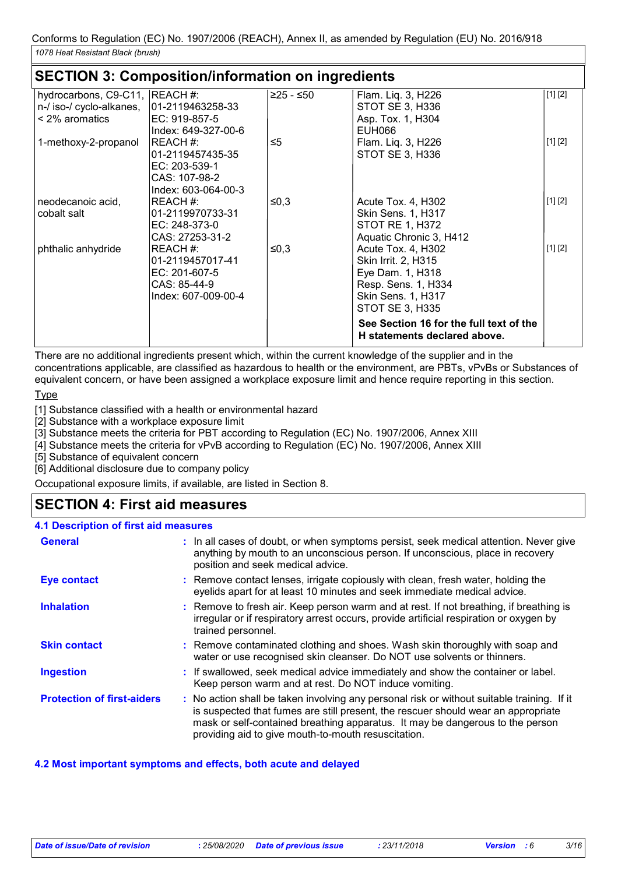# **SECTION 3: Composition/information on ingredients**

| hydrocarbons, C9-C11, REACH #: |                     | ≥25 - ≤50 | Flam. Liq. 3, H226                      | [1] [2] |
|--------------------------------|---------------------|-----------|-----------------------------------------|---------|
| n-/ iso-/ cyclo-alkanes,       | 101-2119463258-33   |           | STOT SE 3, H336                         |         |
| $\leq$ 2% aromatics            | $EC: 919-857-5$     |           | Asp. Tox. 1, H304                       |         |
|                                | Index: 649-327-00-6 |           | EUH066                                  |         |
| 1-methoxy-2-propanol           | IREACH #:           | ≤5        | Flam. Liq. 3, H226                      | [1] [2] |
|                                | 01-2119457435-35    |           | STOT SE 3, H336                         |         |
|                                | EC: 203-539-1       |           |                                         |         |
|                                | CAS: 107-98-2       |           |                                         |         |
|                                | Index: 603-064-00-3 |           |                                         |         |
| neodecanoic acid,              | REACH#:             | ≤0,3      | Acute Tox. 4, H302                      | [1] [2] |
| cobalt salt                    | 01-2119970733-31    |           | <b>Skin Sens. 1, H317</b>               |         |
|                                | EC: 248-373-0       |           | STOT RE 1, H372                         |         |
|                                | CAS: 27253-31-2     |           | Aquatic Chronic 3, H412                 |         |
| phthalic anhydride             | REACH #:            | ≤0,3      | Acute Tox. 4, H302                      | [1] [2] |
|                                | 01-2119457017-41    |           | Skin Irrit. 2, H315                     |         |
|                                | EC: 201-607-5       |           | Eye Dam. 1, H318                        |         |
|                                | CAS: 85-44-9        |           | Resp. Sens. 1, H334                     |         |
|                                | Index: 607-009-00-4 |           | <b>Skin Sens. 1, H317</b>               |         |
|                                |                     |           | <b>STOT SE 3, H335</b>                  |         |
|                                |                     |           | See Section 16 for the full text of the |         |
|                                |                     |           | H statements declared above.            |         |
|                                |                     |           |                                         |         |

There are no additional ingredients present which, within the current knowledge of the supplier and in the concentrations applicable, are classified as hazardous to health or the environment, are PBTs, vPvBs or Substances of equivalent concern, or have been assigned a workplace exposure limit and hence require reporting in this section.

#### **Type**

[1] Substance classified with a health or environmental hazard

[2] Substance with a workplace exposure limit

[3] Substance meets the criteria for PBT according to Regulation (EC) No. 1907/2006, Annex XIII

[4] Substance meets the criteria for vPvB according to Regulation (EC) No. 1907/2006, Annex XIII

[5] Substance of equivalent concern

[6] Additional disclosure due to company policy

Occupational exposure limits, if available, are listed in Section 8.

# **SECTION 4: First aid measures**

| 4.1 Description of first aid measures |                                                                                                                                                                                                                                                                                                                         |
|---------------------------------------|-------------------------------------------------------------------------------------------------------------------------------------------------------------------------------------------------------------------------------------------------------------------------------------------------------------------------|
| <b>General</b>                        | : In all cases of doubt, or when symptoms persist, seek medical attention. Never give<br>anything by mouth to an unconscious person. If unconscious, place in recovery<br>position and seek medical advice.                                                                                                             |
| <b>Eye contact</b>                    | : Remove contact lenses, irrigate copiously with clean, fresh water, holding the<br>eyelids apart for at least 10 minutes and seek immediate medical advice.                                                                                                                                                            |
| <b>Inhalation</b>                     | : Remove to fresh air. Keep person warm and at rest. If not breathing, if breathing is<br>irregular or if respiratory arrest occurs, provide artificial respiration or oxygen by<br>trained personnel.                                                                                                                  |
| <b>Skin contact</b>                   | : Remove contaminated clothing and shoes. Wash skin thoroughly with soap and<br>water or use recognised skin cleanser. Do NOT use solvents or thinners.                                                                                                                                                                 |
| <b>Ingestion</b>                      | : If swallowed, seek medical advice immediately and show the container or label.<br>Keep person warm and at rest. Do NOT induce vomiting.                                                                                                                                                                               |
| <b>Protection of first-aiders</b>     | : No action shall be taken involving any personal risk or without suitable training. If it<br>is suspected that fumes are still present, the rescuer should wear an appropriate<br>mask or self-contained breathing apparatus. It may be dangerous to the person<br>providing aid to give mouth-to-mouth resuscitation. |

# **4.2 Most important symptoms and effects, both acute and delayed**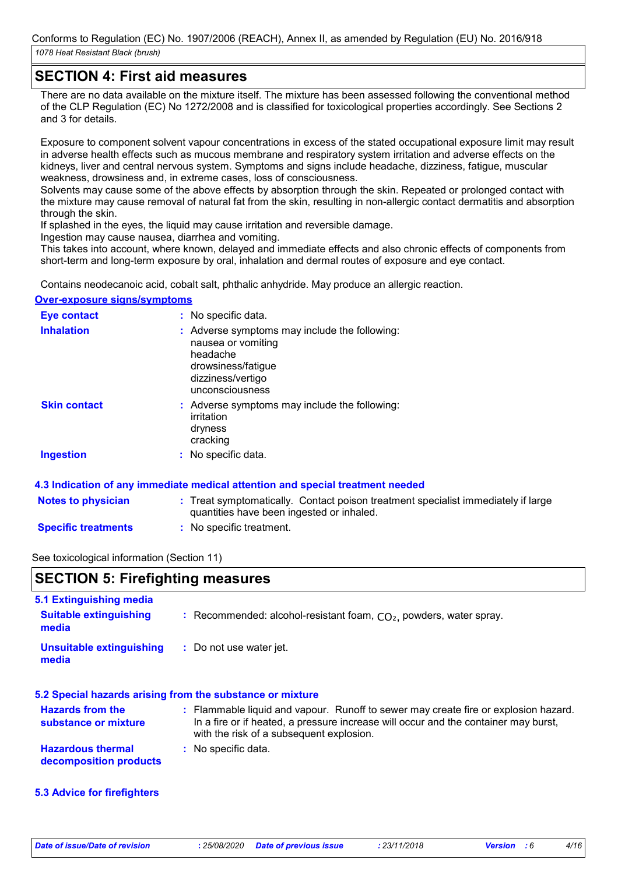# **SECTION 4: First aid measures**

There are no data available on the mixture itself. The mixture has been assessed following the conventional method of the CLP Regulation (EC) No 1272/2008 and is classified for toxicological properties accordingly. See Sections 2 and 3 for details.

Exposure to component solvent vapour concentrations in excess of the stated occupational exposure limit may result in adverse health effects such as mucous membrane and respiratory system irritation and adverse effects on the kidneys, liver and central nervous system. Symptoms and signs include headache, dizziness, fatigue, muscular weakness, drowsiness and, in extreme cases, loss of consciousness.

Solvents may cause some of the above effects by absorption through the skin. Repeated or prolonged contact with the mixture may cause removal of natural fat from the skin, resulting in non-allergic contact dermatitis and absorption through the skin.

If splashed in the eyes, the liquid may cause irritation and reversible damage.

Ingestion may cause nausea, diarrhea and vomiting.

This takes into account, where known, delayed and immediate effects and also chronic effects of components from short-term and long-term exposure by oral, inhalation and dermal routes of exposure and eye contact.

Contains neodecanoic acid, cobalt salt, phthalic anhydride. May produce an allergic reaction.

#### **Over-exposure signs/symptoms**

| Eye contact         | : No specific data.                                                                                                                           |
|---------------------|-----------------------------------------------------------------------------------------------------------------------------------------------|
| <b>Inhalation</b>   | : Adverse symptoms may include the following:<br>nausea or vomiting<br>headache<br>drowsiness/fatique<br>dizziness/vertigo<br>unconsciousness |
| <b>Skin contact</b> | : Adverse symptoms may include the following:<br>irritation<br>dryness<br>cracking                                                            |
| Ingestion           | : No specific data.                                                                                                                           |

# **4.3 Indication of any immediate medical attention and special treatment needed**

| <b>Notes to physician</b>   | : Treat symptomatically. Contact poison treatment specialist immediately if large<br>quantities have been ingested or inhaled. |  |
|-----------------------------|--------------------------------------------------------------------------------------------------------------------------------|--|
| Caracters Association and a | . Na annaile trantrannt                                                                                                        |  |

**Specific treatments :** No specific treatment.

# See toxicological information (Section 11)

| <b>SECTION 5: Firefighting measures</b> |                                                                      |  |
|-----------------------------------------|----------------------------------------------------------------------|--|
| 5.1 Extinguishing media                 |                                                                      |  |
| <b>Suitable extinguishing</b><br>media  | : Recommended: alcohol-resistant foam, $CO2$ , powders, water spray. |  |

| <b>Unsuitable extinguishing</b> | : Do not use water jet. |
|---------------------------------|-------------------------|
| media                           |                         |

#### **5.2 Special hazards arising from the substance or mixture**

| <b>Hazards from the</b>  | : Flammable liquid and vapour. Runoff to sewer may create fire or explosion hazard. |
|--------------------------|-------------------------------------------------------------------------------------|
| substance or mixture     | In a fire or if heated, a pressure increase will occur and the container may burst, |
|                          | with the risk of a subsequent explosion.                                            |
| <b>Hazardous thermal</b> | : No specific data.                                                                 |

**decomposition products**

# **5.3 Advice for firefighters**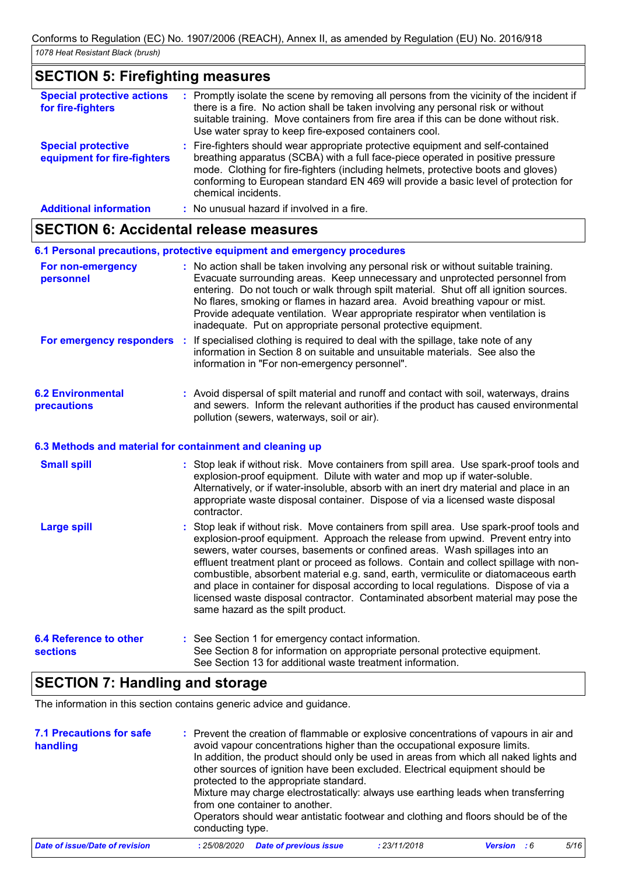# **SECTION 5: Firefighting measures**

| <b>Special protective actions</b><br>for fire-fighters   | : Promptly isolate the scene by removing all persons from the vicinity of the incident if<br>there is a fire. No action shall be taken involving any personal risk or without<br>suitable training. Move containers from fire area if this can be done without risk.<br>Use water spray to keep fire-exposed containers cool.                                         |
|----------------------------------------------------------|-----------------------------------------------------------------------------------------------------------------------------------------------------------------------------------------------------------------------------------------------------------------------------------------------------------------------------------------------------------------------|
| <b>Special protective</b><br>equipment for fire-fighters | : Fire-fighters should wear appropriate protective equipment and self-contained<br>breathing apparatus (SCBA) with a full face-piece operated in positive pressure<br>mode. Clothing for fire-fighters (including helmets, protective boots and gloves)<br>conforming to European standard EN 469 will provide a basic level of protection for<br>chemical incidents. |
| <b>Additional information</b>                            | : No unusual hazard if involved in a fire.                                                                                                                                                                                                                                                                                                                            |

# **SECTION 6: Accidental release measures**

| 6.1 Personal precautions, protective equipment and emergency procedures |  |                                                                                                                                                                                                                                                                                                                                                                                                                                                                                                |  |  |
|-------------------------------------------------------------------------|--|------------------------------------------------------------------------------------------------------------------------------------------------------------------------------------------------------------------------------------------------------------------------------------------------------------------------------------------------------------------------------------------------------------------------------------------------------------------------------------------------|--|--|
| For non-emergency<br>personnel                                          |  | : No action shall be taken involving any personal risk or without suitable training.<br>Evacuate surrounding areas. Keep unnecessary and unprotected personnel from<br>entering. Do not touch or walk through spilt material. Shut off all ignition sources.<br>No flares, smoking or flames in hazard area. Avoid breathing vapour or mist.<br>Provide adequate ventilation. Wear appropriate respirator when ventilation is<br>inadequate. Put on appropriate personal protective equipment. |  |  |
|                                                                         |  | For emergency responders : If specialised clothing is required to deal with the spillage, take note of any<br>information in Section 8 on suitable and unsuitable materials. See also the<br>information in "For non-emergency personnel".                                                                                                                                                                                                                                                     |  |  |
| <b>6.2 Environmental</b><br>precautions                                 |  | : Avoid dispersal of spilt material and runoff and contact with soil, waterways, drains<br>and sewers. Inform the relevant authorities if the product has caused environmental<br>pollution (sewers, waterways, soil or air).                                                                                                                                                                                                                                                                  |  |  |

# **6.3 Methods and material for containment and cleaning up**

| <b>Small spill</b>                 | : Stop leak if without risk. Move containers from spill area. Use spark-proof tools and<br>explosion-proof equipment. Dilute with water and mop up if water-soluble.<br>Alternatively, or if water-insoluble, absorb with an inert dry material and place in an<br>appropriate waste disposal container. Dispose of via a licensed waste disposal<br>contractor.                                                                                                                                                                                                                                                                                           |
|------------------------------------|------------------------------------------------------------------------------------------------------------------------------------------------------------------------------------------------------------------------------------------------------------------------------------------------------------------------------------------------------------------------------------------------------------------------------------------------------------------------------------------------------------------------------------------------------------------------------------------------------------------------------------------------------------|
| <b>Large spill</b>                 | : Stop leak if without risk. Move containers from spill area. Use spark-proof tools and<br>explosion-proof equipment. Approach the release from upwind. Prevent entry into<br>sewers, water courses, basements or confined areas. Wash spillages into an<br>effluent treatment plant or proceed as follows. Contain and collect spillage with non-<br>combustible, absorbent material e.g. sand, earth, vermiculite or diatomaceous earth<br>and place in container for disposal according to local regulations. Dispose of via a<br>licensed waste disposal contractor. Contaminated absorbent material may pose the<br>same hazard as the spilt product. |
| 6.4 Reference to other<br>sections | : See Section 1 for emergency contact information.<br>See Section 8 for information on appropriate personal protective equipment.<br>See Section 13 for additional waste treatment information.                                                                                                                                                                                                                                                                                                                                                                                                                                                            |

# **SECTION 7: Handling and storage**

The information in this section contains generic advice and guidance.

| <b>7.1 Precautions for safe</b><br>handling | conducting type. | : Prevent the creation of flammable or explosive concentrations of vapours in air and<br>avoid vapour concentrations higher than the occupational exposure limits.<br>In addition, the product should only be used in areas from which all naked lights and<br>other sources of ignition have been excluded. Electrical equipment should be<br>protected to the appropriate standard.<br>Mixture may charge electrostatically: always use earthing leads when transferring<br>from one container to another.<br>Operators should wear antistatic footwear and clothing and floors should be of the |              |                |     |      |
|---------------------------------------------|------------------|----------------------------------------------------------------------------------------------------------------------------------------------------------------------------------------------------------------------------------------------------------------------------------------------------------------------------------------------------------------------------------------------------------------------------------------------------------------------------------------------------------------------------------------------------------------------------------------------------|--------------|----------------|-----|------|
| Date of issue/Date of revision              | : 25/08/2020     | <b>Date of previous issue</b>                                                                                                                                                                                                                                                                                                                                                                                                                                                                                                                                                                      | : 23/11/2018 | <b>Version</b> | - 6 | 5/16 |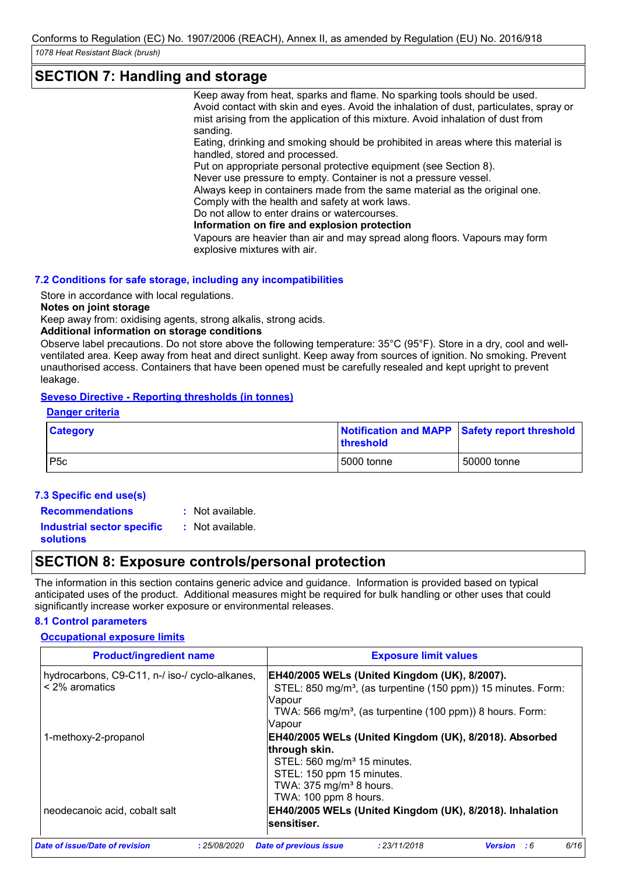# **SECTION 7: Handling and storage**

Keep away from heat, sparks and flame. No sparking tools should be used. Avoid contact with skin and eyes. Avoid the inhalation of dust, particulates, spray or mist arising from the application of this mixture. Avoid inhalation of dust from sanding.

Eating, drinking and smoking should be prohibited in areas where this material is handled, stored and processed.

Put on appropriate personal protective equipment (see Section 8).

Never use pressure to empty. Container is not a pressure vessel.

Always keep in containers made from the same material as the original one. Comply with the health and safety at work laws.

Do not allow to enter drains or watercourses.

**Information on fire and explosion protection**

Vapours are heavier than air and may spread along floors. Vapours may form explosive mixtures with air.

# **7.2 Conditions for safe storage, including any incompatibilities**

Store in accordance with local regulations.

**Notes on joint storage**

Keep away from: oxidising agents, strong alkalis, strong acids.

#### **Additional information on storage conditions**

Observe label precautions. Do not store above the following temperature: 35°C (95°F). Store in a dry, cool and wellventilated area. Keep away from heat and direct sunlight. Keep away from sources of ignition. No smoking. Prevent unauthorised access. Containers that have been opened must be carefully resealed and kept upright to prevent leakage.

# **Seveso Directive - Reporting thresholds (in tonnes)**

| <b>Danger criteria</b> |                                                                   |
|------------------------|-------------------------------------------------------------------|
| <b>Category</b>        | Notification and MAPP Safety report threshold<br><b>threshold</b> |
| P5c                    | 5000 tonne<br>50000 tonne                                         |

# **7.3 Specific end use(s) Recommendations :**

: Not available.

**Industrial sector specific : solutions**

: Not available.

# **SECTION 8: Exposure controls/personal protection**

The information in this section contains generic advice and guidance. Information is provided based on typical anticipated uses of the product. Additional measures might be required for bulk handling or other uses that could significantly increase worker exposure or environmental releases.

# **8.1 Control parameters**

# **Occupational exposure limits**

| <b>Product/ingredient name</b>                                        | <b>Exposure limit values</b>                                                                                                                                                                                                   |
|-----------------------------------------------------------------------|--------------------------------------------------------------------------------------------------------------------------------------------------------------------------------------------------------------------------------|
| hydrocarbons, C9-C11, n-/ iso-/ cyclo-alkanes,<br>$\leq$ 2% aromatics | <b>EH40/2005 WELs (United Kingdom (UK), 8/2007).</b><br>STEL: 850 mg/m <sup>3</sup> , (as turpentine (150 ppm)) 15 minutes. Form:<br>Vapour<br>TWA: 566 mg/m <sup>3</sup> , (as turpentine (100 ppm)) 8 hours. Form:<br>Vapour |
| 1-methoxy-2-propanol                                                  | EH40/2005 WELs (United Kingdom (UK), 8/2018). Absorbed<br>through skin.<br>STEL: 560 mg/m <sup>3</sup> 15 minutes.<br>STEL: 150 ppm 15 minutes.<br>TWA: 375 mg/m <sup>3</sup> 8 hours.                                         |
| neodecanoic acid, cobalt salt                                         | TWA: 100 ppm 8 hours.<br>EH40/2005 WELs (United Kingdom (UK), 8/2018). Inhalation<br>sensitiser.                                                                                                                               |
| Date of issue/Date of revision<br>: 25/08/2020                        | 6/16<br><b>Date of previous issue</b><br>: 23/11/2018<br>Version : 6                                                                                                                                                           |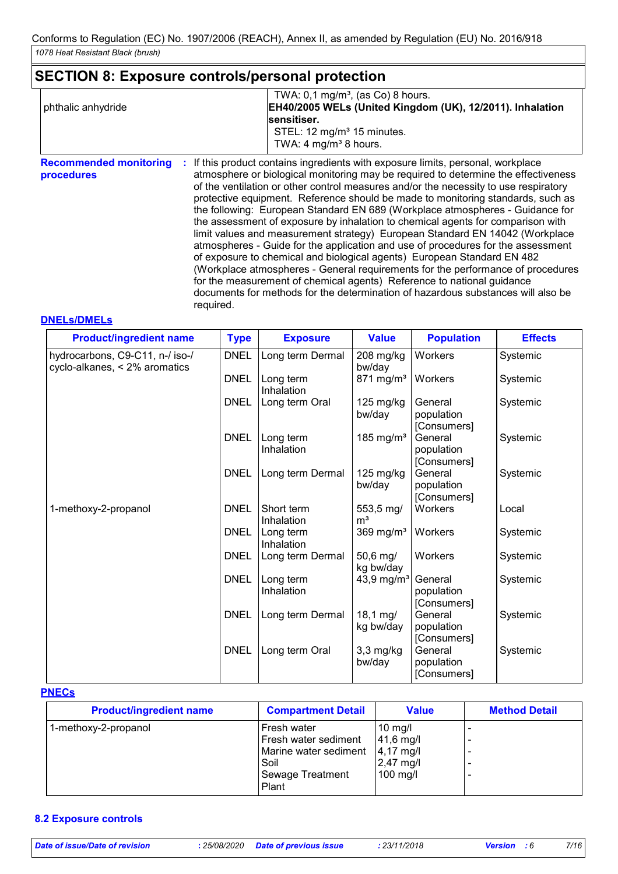# **SECTION 8: Exposure controls/personal protection**

|                    | TWA: $0,1 \text{ mg/m}^3$ , (as Co) 8 hours.              |
|--------------------|-----------------------------------------------------------|
| phthalic anhydride | EH40/2005 WELs (United Kingdom (UK), 12/2011). Inhalation |
|                    | sensitiser.                                               |
|                    | STEL: $12 \text{ mg/m}^3$ 15 minutes.                     |
|                    | TWA: 4 mg/m <sup>3</sup> 8 hours.                         |

**Recommended monitoring procedures :** If this product contains ingredients with exposure limits, personal, workplace atmosphere or biological monitoring may be required to determine the effectiveness of the ventilation or other control measures and/or the necessity to use respiratory protective equipment. Reference should be made to monitoring standards, such as the following: European Standard EN 689 (Workplace atmospheres - Guidance for the assessment of exposure by inhalation to chemical agents for comparison with limit values and measurement strategy) European Standard EN 14042 (Workplace atmospheres - Guide for the application and use of procedures for the assessment of exposure to chemical and biological agents) European Standard EN 482 (Workplace atmospheres - General requirements for the performance of procedures for the measurement of chemical agents) Reference to national guidance documents for methods for the determination of hazardous substances will also be required.

# **DNELs/DMELs**

| <b>Product/ingredient name</b>                                   | <b>Type</b> | <b>Exposure</b>          | <b>Value</b>                  | <b>Population</b>                    | <b>Effects</b> |
|------------------------------------------------------------------|-------------|--------------------------|-------------------------------|--------------------------------------|----------------|
| hydrocarbons, C9-C11, n-/ iso-/<br>cyclo-alkanes, < 2% aromatics | <b>DNEL</b> | Long term Dermal         | 208 mg/kg<br>bw/day           | Workers                              | Systemic       |
|                                                                  | <b>DNEL</b> | Long term<br>Inhalation  | 871 mg/m <sup>3</sup>         | Workers                              | Systemic       |
|                                                                  | <b>DNEL</b> | Long term Oral           | 125 mg/kg<br>bw/day           | General<br>population<br>[Consumers] | Systemic       |
|                                                                  | <b>DNEL</b> | Long term<br>Inhalation  | 185 mg/m <sup>3</sup>         | General<br>population<br>[Consumers] | Systemic       |
|                                                                  | <b>DNEL</b> | Long term Dermal         | $125 \text{ mg/kg}$<br>bw/day | General<br>population<br>[Consumers] | Systemic       |
| 1-methoxy-2-propanol                                             | <b>DNEL</b> | Short term<br>Inhalation | 553,5 mg/<br>m <sup>3</sup>   | <b>Workers</b>                       | Local          |
|                                                                  | <b>DNEL</b> | Long term<br>Inhalation  | 369 mg/m <sup>3</sup>         | Workers                              | Systemic       |
|                                                                  | <b>DNEL</b> | Long term Dermal         | 50,6 mg/<br>kg bw/day         | Workers                              | Systemic       |
|                                                                  | <b>DNEL</b> | Long term<br>Inhalation  | 43,9 mg/ $m3$                 | General<br>population<br>[Consumers] | Systemic       |
|                                                                  | <b>DNEL</b> | Long term Dermal         | 18,1 mg/<br>kg bw/day         | General<br>population<br>[Consumers] | Systemic       |
|                                                                  | <b>DNEL</b> | Long term Oral           | $3,3$ mg/kg<br>bw/day         | General<br>population<br>[Consumers] | Systemic       |

#### **PNECs**

| <b>Product/ingredient name</b> | <b>Compartment Detail</b> | <b>Value</b>         | <b>Method Detail</b> |
|--------------------------------|---------------------------|----------------------|----------------------|
| 1-methoxy-2-propanol           | Fresh water               | $10$ mg/l            |                      |
|                                | Fresh water sediment      | $ 41,6 \text{ mg}/ $ |                      |
|                                | Marine water sediment     | $ 4,17 \text{ mg}/1$ |                      |
|                                | Soil                      | $2,47$ mg/l          |                      |
|                                | Sewage Treatment          | 100 mg/l             |                      |
|                                | Plant                     |                      |                      |

# **8.2 Exposure controls**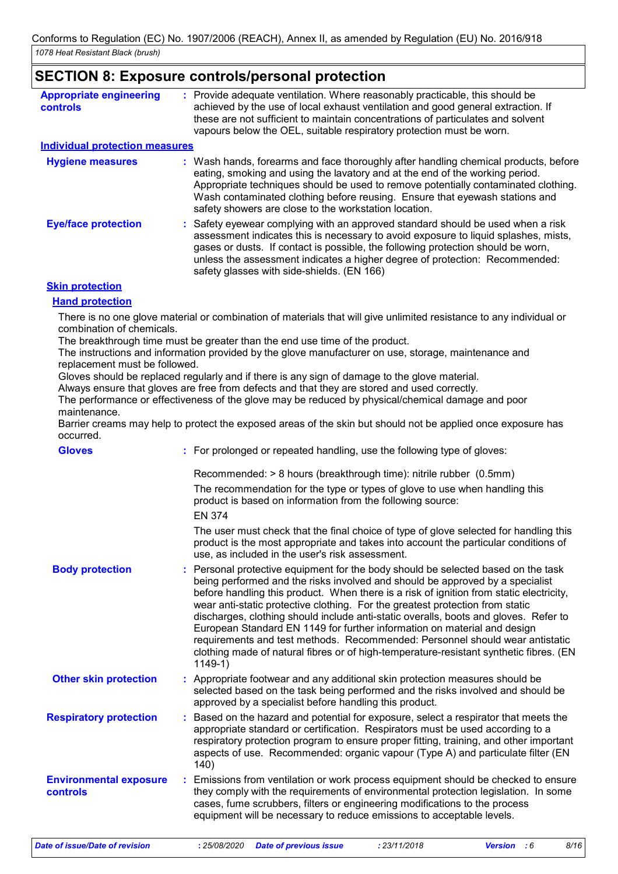# **SECTION 8: Exposure controls/personal protection**

| <b>Appropriate engineering</b><br><b>controls</b> | : Provide adequate ventilation. Where reasonably practicable, this should be<br>achieved by the use of local exhaust ventilation and good general extraction. If<br>these are not sufficient to maintain concentrations of particulates and solvent<br>vapours below the OEL, suitable respiratory protection must be worn.                                                                       |  |
|---------------------------------------------------|---------------------------------------------------------------------------------------------------------------------------------------------------------------------------------------------------------------------------------------------------------------------------------------------------------------------------------------------------------------------------------------------------|--|
| <b>Individual protection measures</b>             |                                                                                                                                                                                                                                                                                                                                                                                                   |  |
| <b>Hygiene measures</b>                           | : Wash hands, forearms and face thoroughly after handling chemical products, before<br>eating, smoking and using the lavatory and at the end of the working period.<br>Appropriate techniques should be used to remove potentially contaminated clothing.<br>Wash contaminated clothing before reusing. Ensure that eyewash stations and<br>safety showers are close to the workstation location. |  |
| <b>Eye/face protection</b>                        | : Safety eyewear complying with an approved standard should be used when a risk<br>assessment indicates this is necessary to avoid exposure to liquid splashes, mists,<br>gases or dusts. If contact is possible, the following protection should be worn,<br>unless the assessment indicates a higher degree of protection: Recommended:<br>safety glasses with side-shields. (EN 166)           |  |
| <b>Skin protection</b>                            |                                                                                                                                                                                                                                                                                                                                                                                                   |  |
| <b>Hand protection</b>                            |                                                                                                                                                                                                                                                                                                                                                                                                   |  |

There is no one glove material or combination of materials that will give unlimited resistance to any individual or combination of chemicals.

The breakthrough time must be greater than the end use time of the product.

The instructions and information provided by the glove manufacturer on use, storage, maintenance and replacement must be followed.

Gloves should be replaced regularly and if there is any sign of damage to the glove material.

Always ensure that gloves are free from defects and that they are stored and used correctly.

The performance or effectiveness of the glove may be reduced by physical/chemical damage and poor maintenance.

Barrier creams may help to protect the exposed areas of the skin but should not be applied once exposure has occurred.

| <b>Gloves</b>                             | : For prolonged or repeated handling, use the following type of gloves:                                                                                                                                                                                                                                                                                                                                                                                                                                                                                                                                                                                                                                   |
|-------------------------------------------|-----------------------------------------------------------------------------------------------------------------------------------------------------------------------------------------------------------------------------------------------------------------------------------------------------------------------------------------------------------------------------------------------------------------------------------------------------------------------------------------------------------------------------------------------------------------------------------------------------------------------------------------------------------------------------------------------------------|
|                                           | Recommended: > 8 hours (breakthrough time): nitrile rubber (0.5mm)<br>The recommendation for the type or types of glove to use when handling this<br>product is based on information from the following source:<br><b>EN 374</b><br>The user must check that the final choice of type of glove selected for handling this<br>product is the most appropriate and takes into account the particular conditions of<br>use, as included in the user's risk assessment.                                                                                                                                                                                                                                       |
| <b>Body protection</b>                    | : Personal protective equipment for the body should be selected based on the task<br>being performed and the risks involved and should be approved by a specialist<br>before handling this product. When there is a risk of ignition from static electricity,<br>wear anti-static protective clothing. For the greatest protection from static<br>discharges, clothing should include anti-static overalls, boots and gloves. Refer to<br>European Standard EN 1149 for further information on material and design<br>requirements and test methods. Recommended: Personnel should wear antistatic<br>clothing made of natural fibres or of high-temperature-resistant synthetic fibres. (EN<br>$1149-1)$ |
| <b>Other skin protection</b>              | : Appropriate footwear and any additional skin protection measures should be<br>selected based on the task being performed and the risks involved and should be<br>approved by a specialist before handling this product.                                                                                                                                                                                                                                                                                                                                                                                                                                                                                 |
| <b>Respiratory protection</b>             | : Based on the hazard and potential for exposure, select a respirator that meets the<br>appropriate standard or certification. Respirators must be used according to a<br>respiratory protection program to ensure proper fitting, training, and other important<br>aspects of use. Recommended: organic vapour (Type A) and particulate filter (EN<br>140)                                                                                                                                                                                                                                                                                                                                               |
| <b>Environmental exposure</b><br>controls | : Emissions from ventilation or work process equipment should be checked to ensure<br>they comply with the requirements of environmental protection legislation. In some<br>cases, fume scrubbers, filters or engineering modifications to the process<br>equipment will be necessary to reduce emissions to acceptable levels.                                                                                                                                                                                                                                                                                                                                                                           |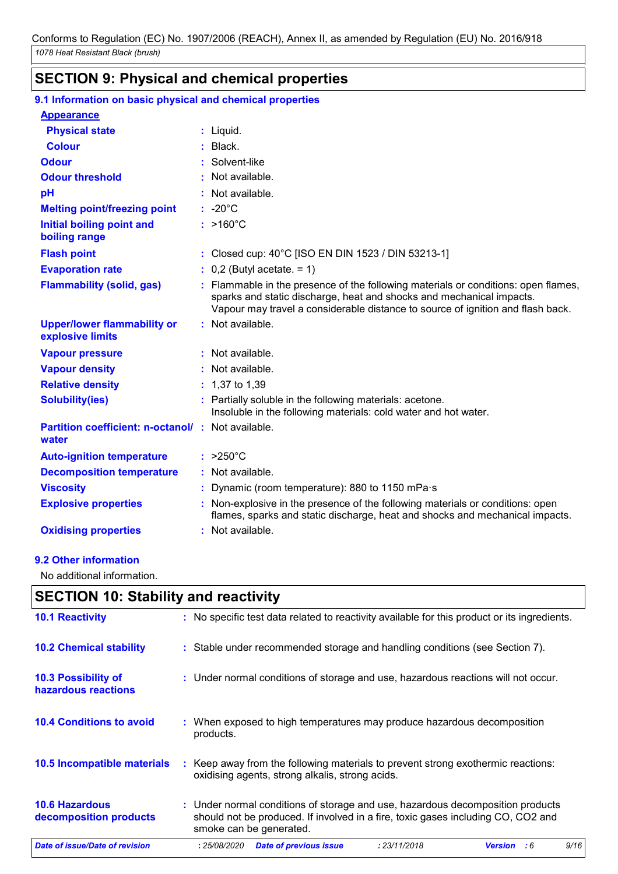# **SECTION 9: Physical and chemical properties**

| 9.1 Information on basic physical and chemical properties         |                                                                                                                                                                                                                                               |
|-------------------------------------------------------------------|-----------------------------------------------------------------------------------------------------------------------------------------------------------------------------------------------------------------------------------------------|
| <b>Appearance</b>                                                 |                                                                                                                                                                                                                                               |
| <b>Physical state</b>                                             | : Liquid.                                                                                                                                                                                                                                     |
| <b>Colour</b>                                                     | $:$ Black.                                                                                                                                                                                                                                    |
| <b>Odour</b>                                                      | : Solvent-like                                                                                                                                                                                                                                |
| <b>Odour threshold</b>                                            | : Not available.                                                                                                                                                                                                                              |
| pH                                                                | : Not available.                                                                                                                                                                                                                              |
| <b>Melting point/freezing point</b>                               | $: -20^{\circ}$ C                                                                                                                                                                                                                             |
| Initial boiling point and<br>boiling range                        | $:$ >160°C                                                                                                                                                                                                                                    |
| <b>Flash point</b>                                                | : Closed cup: 40°C [ISO EN DIN 1523 / DIN 53213-1]                                                                                                                                                                                            |
| <b>Evaporation rate</b>                                           | $\therefore$ 0,2 (Butyl acetate. = 1)                                                                                                                                                                                                         |
| <b>Flammability (solid, gas)</b>                                  | : Flammable in the presence of the following materials or conditions: open flames,<br>sparks and static discharge, heat and shocks and mechanical impacts.<br>Vapour may travel a considerable distance to source of ignition and flash back. |
| <b>Upper/lower flammability or</b><br>explosive limits            | : Not available.                                                                                                                                                                                                                              |
| <b>Vapour pressure</b>                                            | $:$ Not available.                                                                                                                                                                                                                            |
| <b>Vapour density</b>                                             | : Not available.                                                                                                                                                                                                                              |
| <b>Relative density</b>                                           | $: 1,37$ to 1,39                                                                                                                                                                                                                              |
| <b>Solubility(ies)</b>                                            | : Partially soluble in the following materials: acetone.<br>Insoluble in the following materials: cold water and hot water.                                                                                                                   |
| <b>Partition coefficient: n-octanol/: Not available.</b><br>water |                                                                                                                                                                                                                                               |
| <b>Auto-ignition temperature</b>                                  | $: >250^{\circ}$ C                                                                                                                                                                                                                            |
| <b>Decomposition temperature</b>                                  | : Not available.                                                                                                                                                                                                                              |
| <b>Viscosity</b>                                                  | : Dynamic (room temperature): 880 to 1150 mPa·s                                                                                                                                                                                               |
| <b>Explosive properties</b>                                       | : Non-explosive in the presence of the following materials or conditions: open<br>flames, sparks and static discharge, heat and shocks and mechanical impacts.                                                                                |
| <b>Oxidising properties</b>                                       | $:$ Not available.                                                                                                                                                                                                                            |

# **9.2 Other information**

No additional information.

|                                                   | <b>SECTION 10: Stability and reactivity</b>                                                                                                                                                   |      |  |  |  |  |
|---------------------------------------------------|-----------------------------------------------------------------------------------------------------------------------------------------------------------------------------------------------|------|--|--|--|--|
| <b>10.1 Reactivity</b>                            | : No specific test data related to reactivity available for this product or its ingredients.                                                                                                  |      |  |  |  |  |
| <b>10.2 Chemical stability</b>                    | : Stable under recommended storage and handling conditions (see Section 7).                                                                                                                   |      |  |  |  |  |
| <b>10.3 Possibility of</b><br>hazardous reactions | : Under normal conditions of storage and use, hazardous reactions will not occur.                                                                                                             |      |  |  |  |  |
| <b>10.4 Conditions to avoid</b>                   | : When exposed to high temperatures may produce hazardous decomposition<br>products.                                                                                                          |      |  |  |  |  |
| 10.5 Incompatible materials                       | Keep away from the following materials to prevent strong exothermic reactions:<br>÷.<br>oxidising agents, strong alkalis, strong acids.                                                       |      |  |  |  |  |
| <b>10.6 Hazardous</b><br>decomposition products   | : Under normal conditions of storage and use, hazardous decomposition products<br>should not be produced. If involved in a fire, toxic gases including CO, CO2 and<br>smoke can be generated. |      |  |  |  |  |
| <b>Date of issue/Date of revision</b>             | <b>Date of previous issue</b><br>: 25/08/2020<br>: 23/11/2018<br><b>Version</b><br>:6                                                                                                         | 9/16 |  |  |  |  |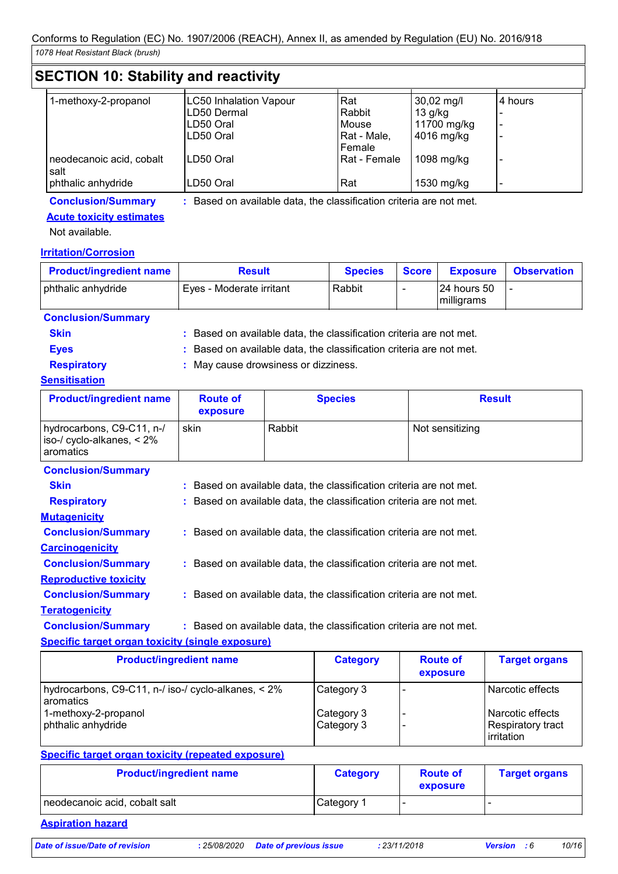| 1-methoxy-2-propanol             | <b>LC50 Inhalation Vapour</b> | Rat          | $30,02 \text{ mg/l}$ | 4 hours |
|----------------------------------|-------------------------------|--------------|----------------------|---------|
|                                  | LD50 Dermal                   | Rabbit       | $13$ g/kg            |         |
|                                  | LD50 Oral                     | Mouse        | 11700 mg/kg          |         |
|                                  | ILD50 Oral                    | Rat - Male,  | 4016 mg/kg           |         |
|                                  |                               | Female       |                      |         |
| neodecanoic acid, cobalt<br>salt | ILD50 Oral                    | Rat - Female | 1098 mg/kg           |         |
| phthalic anhydride               | LD50 Oral                     | Rat          | 1530 mg/kg           |         |

# **Conclusion/Summary :** Based on available data, the classification criteria are not met.

# **Acute toxicity estimates**

Not available.

# **Irritation/Corrosion**

| <b>Product/ingredient name</b> | <b>Result</b>            | <b>Species</b> | <b>Score</b> | <b>Exposure</b>            | <b>Observation</b> |
|--------------------------------|--------------------------|----------------|--------------|----------------------------|--------------------|
| phthalic anhydride             | Eves - Moderate irritant | Rabbit         |              | 124 hours 50<br>milligrams |                    |

# **Conclusion/Summary**

| <b>Skin</b> | Based on available data, the classification criteria are not met. |
|-------------|-------------------------------------------------------------------|
| <b>Eves</b> | Based on available data, the classification criteria are not met. |

**Respiratory :** May cause drowsiness or dizziness.

# **Sensitisation**

| <b>Product/ingredient name</b>                                         | <b>Route of</b><br>exposure                                         | <b>Species</b>                                                      | <b>Result</b>   |  |  |
|------------------------------------------------------------------------|---------------------------------------------------------------------|---------------------------------------------------------------------|-----------------|--|--|
| hydrocarbons, C9-C11, n-/<br>iso-/ cyclo-alkanes, $< 2\%$<br>aromatics | skin                                                                | Rabbit                                                              | Not sensitizing |  |  |
| <b>Conclusion/Summary</b>                                              |                                                                     |                                                                     |                 |  |  |
| <b>Skin</b>                                                            | : Based on available data, the classification criteria are not met. |                                                                     |                 |  |  |
| <b>Respiratory</b>                                                     | : Based on available data, the classification criteria are not met. |                                                                     |                 |  |  |
| <b>Mutagenicity</b>                                                    |                                                                     |                                                                     |                 |  |  |
| <b>Conclusion/Summary</b>                                              |                                                                     | : Based on available data, the classification criteria are not met. |                 |  |  |
| <b>Carcinogenicity</b>                                                 |                                                                     |                                                                     |                 |  |  |

**Conclusion/Summary :** Based on available data, the classification criteria are not met.

# **Reproductive toxicity Conclusion/Summary :** Based on available data, the classification criteria are not met.

**Teratogenicity**

**Conclusion/Summary :** Based on available data, the classification criteria are not met.

# **Specific target organ toxicity (single exposure)**

| <b>Product/ingredient name</b>                                                                                 | <b>Category</b>                        | <b>Route of</b><br>exposure | <b>Target organs</b>                                                           |
|----------------------------------------------------------------------------------------------------------------|----------------------------------------|-----------------------------|--------------------------------------------------------------------------------|
| hydrocarbons, C9-C11, n-/ iso-/ cyclo-alkanes, < 2%<br>aromatics<br>1-methoxy-2-propanol<br>phthalic anhydride | Category 3<br>Category 3<br>Category 3 |                             | Narcotic effects<br>Narcotic effects<br><b>Respiratory tract</b><br>irritation |

# **Specific target organ toxicity (repeated exposure)**

| <b>Product/ingredient name</b> | <b>Category</b>       | <b>Route of</b><br>exposure | <b>Target organs</b> |
|--------------------------------|-----------------------|-----------------------------|----------------------|
| neodecanoic acid, cobalt salt  | Category <sup>1</sup> |                             |                      |

# **Aspiration hazard**

*Date of issue/Date of revision* **:** *25/08/2020 Date of previous issue : 23/11/2018 Version : 6 10/16*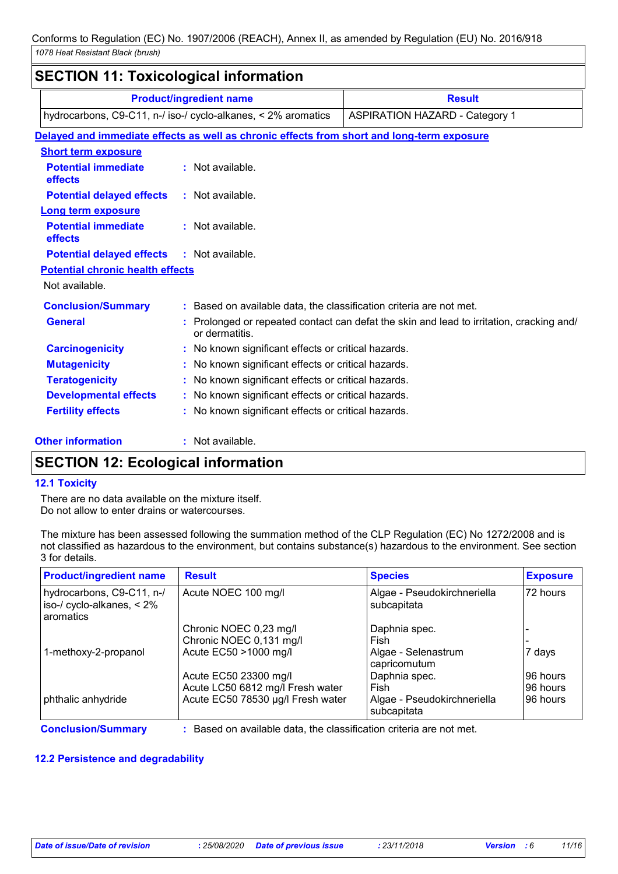| <b>SECTION 11: Toxicological information</b>                                                           |                                                                                            |                                                                                          |  |
|--------------------------------------------------------------------------------------------------------|--------------------------------------------------------------------------------------------|------------------------------------------------------------------------------------------|--|
|                                                                                                        | <b>Product/ingredient name</b>                                                             | <b>Result</b>                                                                            |  |
| hydrocarbons, C9-C11, n-/ iso-/ cyclo-alkanes, < 2% aromatics<br><b>ASPIRATION HAZARD - Category 1</b> |                                                                                            |                                                                                          |  |
|                                                                                                        | Delayed and immediate effects as well as chronic effects from short and long-term exposure |                                                                                          |  |
| <b>Short term exposure</b>                                                                             |                                                                                            |                                                                                          |  |
| <b>Potential immediate</b><br>effects                                                                  | $:$ Not available.                                                                         |                                                                                          |  |
| <b>Potential delayed effects</b>                                                                       | $:$ Not available.                                                                         |                                                                                          |  |
| <b>Long term exposure</b>                                                                              |                                                                                            |                                                                                          |  |
| <b>Potential immediate</b><br>effects                                                                  | : Not available.                                                                           |                                                                                          |  |
| <b>Potential delayed effects</b>                                                                       | : Not available.                                                                           |                                                                                          |  |
| <b>Potential chronic health effects</b>                                                                |                                                                                            |                                                                                          |  |
| Not available.                                                                                         |                                                                                            |                                                                                          |  |
| <b>Conclusion/Summary</b>                                                                              | : Based on available data, the classification criteria are not met.                        |                                                                                          |  |
| <b>General</b>                                                                                         | or dermatitis.                                                                             | : Prolonged or repeated contact can defat the skin and lead to irritation, cracking and/ |  |
| <b>Carcinogenicity</b>                                                                                 | : No known significant effects or critical hazards.                                        |                                                                                          |  |
| <b>Mutagenicity</b>                                                                                    | : No known significant effects or critical hazards.                                        |                                                                                          |  |
| <b>Teratogenicity</b>                                                                                  | : No known significant effects or critical hazards.                                        |                                                                                          |  |
| <b>Developmental effects</b>                                                                           | : No known significant effects or critical hazards.                                        |                                                                                          |  |
| <b>Fertility effects</b>                                                                               | : No known significant effects or critical hazards.                                        |                                                                                          |  |
| <b>Other information</b>                                                                               | : Not available.                                                                           |                                                                                          |  |

# **SECTION 12: Ecological information**

# **12.1 Toxicity**

There are no data available on the mixture itself. Do not allow to enter drains or watercourses.

The mixture has been assessed following the summation method of the CLP Regulation (EC) No 1272/2008 and is not classified as hazardous to the environment, but contains substance(s) hazardous to the environment. See section 3 for details.

| <b>Product/ingredient name</b>                                         | <b>Result</b>                                                     | <b>Species</b>                             | <b>Exposure</b> |
|------------------------------------------------------------------------|-------------------------------------------------------------------|--------------------------------------------|-----------------|
| hydrocarbons, C9-C11, n-/<br>iso-/ cyclo-alkanes, $< 2\%$<br>aromatics | Acute NOEC 100 mg/l                                               | Algae - Pseudokirchneriella<br>subcapitata | 72 hours        |
|                                                                        | Chronic NOEC 0,23 mg/l                                            | Daphnia spec.                              |                 |
|                                                                        | Chronic NOEC 0,131 mg/l                                           | Fish                                       |                 |
| 1-methoxy-2-propanol                                                   | Acute EC50 >1000 mg/l                                             | Algae - Selenastrum<br>capricomutum        | 7 days          |
|                                                                        | Acute EC50 23300 mg/l                                             | Daphnia spec.                              | 96 hours        |
|                                                                        | Acute LC50 6812 mg/l Fresh water                                  | Fish                                       | 96 hours        |
| phthalic anhydride                                                     | Acute EC50 78530 µg/l Fresh water                                 | Algae - Pseudokirchneriella<br>subcapitata | 96 hours        |
| <b>Conclusion/Summary</b>                                              | Based on available data, the classification criteria are not met. |                                            |                 |

**12.2 Persistence and degradability**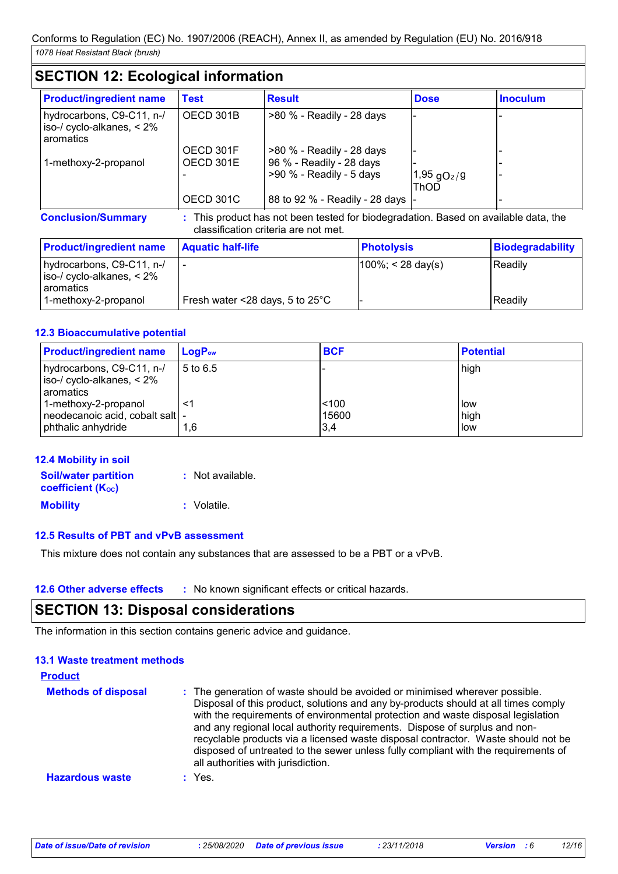# **SECTION 12: Ecological information**

| <b>Product/ingredient name</b>                                         | Test                   | <b>Result</b>                                         | <b>Dose</b>                              | <b>Inoculum</b> |
|------------------------------------------------------------------------|------------------------|-------------------------------------------------------|------------------------------------------|-----------------|
| hydrocarbons, C9-C11, n-/<br>iso-/ cyclo-alkanes, $< 2\%$<br>aromatics | OECD 301B              | >80 % - Readily - 28 days                             |                                          |                 |
| 1-methoxy-2-propanol                                                   | OECD 301F<br>OECD 301E | >80 % - Readily - 28 days<br>96 % - Readily - 28 days |                                          |                 |
|                                                                        |                        | $>90$ % - Readily - 5 days                            | $1,95$ gO <sub>2</sub> /g<br><b>ThOD</b> |                 |
|                                                                        | OECD 301C              | 88 to 92 % - Readily - 28 days  -                     |                                          |                 |

**Conclusion/Summary :** This product has not been tested for biodegradation. Based on available data, the classification criteria are not met.

| <b>Product/ingredient name</b>                                          | <b>Aquatic half-life</b>                  | <b>Photolysis</b>     | Biodegradability |
|-------------------------------------------------------------------------|-------------------------------------------|-----------------------|------------------|
| hydrocarbons, C9-C11, n-/<br>$ $ iso-/ cyclo-alkanes, < 2%<br>aromatics |                                           | $ 100\%  < 28$ day(s) | <b>Readily</b>   |
| 1-methoxy-2-propanol                                                    | Fresh water <28 days, 5 to $25^{\circ}$ C |                       | <b>Readily</b>   |

# **12.3 Bioaccumulative potential**

| <b>Product/ingredient name</b>                                                 | $LogP_{ow}$ | <b>BCF</b>            | <b>Potential</b>       |
|--------------------------------------------------------------------------------|-------------|-----------------------|------------------------|
| hydrocarbons, C9-C11, n-/<br>iso-/ cyclo-alkanes, < 2%<br>aromatics            | 5 to 6.5    |                       | high                   |
| 1-methoxy-2-propanol<br>neodecanoic acid, cobalt salt  -<br>phthalic anhydride | <1<br>1.6   | < 100<br>15600<br>3,4 | l low<br>high<br>l low |

| <b>12.4 Mobility in soil</b>                            |                  |
|---------------------------------------------------------|------------------|
| <b>Soil/water partition</b><br><b>coefficient (Koc)</b> | : Not available. |
| <b>Mobility</b>                                         | : Volatile.      |

# **12.5 Results of PBT and vPvB assessment**

This mixture does not contain any substances that are assessed to be a PBT or a vPvB.

**12.6 Other adverse effects** : No known significant effects or critical hazards.

# **SECTION 13: Disposal considerations**

The information in this section contains generic advice and guidance.

# **13.1 Waste treatment methods**

| <b>Product</b>             |                                                                                                                                                                                                                                                                                                                                                                                                                                                                                                                                                      |
|----------------------------|------------------------------------------------------------------------------------------------------------------------------------------------------------------------------------------------------------------------------------------------------------------------------------------------------------------------------------------------------------------------------------------------------------------------------------------------------------------------------------------------------------------------------------------------------|
| <b>Methods of disposal</b> | : The generation of waste should be avoided or minimised wherever possible.<br>Disposal of this product, solutions and any by-products should at all times comply<br>with the requirements of environmental protection and waste disposal legislation<br>and any regional local authority requirements. Dispose of surplus and non-<br>recyclable products via a licensed waste disposal contractor. Waste should not be<br>disposed of untreated to the sewer unless fully compliant with the requirements of<br>all authorities with jurisdiction. |
| <b>Hazardous waste</b>     | $:$ Yes.                                                                                                                                                                                                                                                                                                                                                                                                                                                                                                                                             |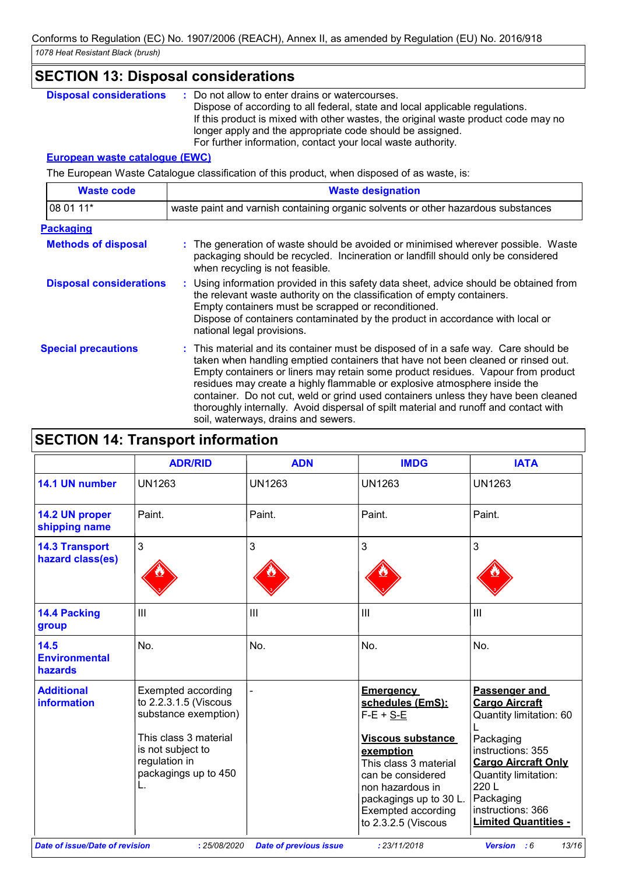# **SECTION 13: Disposal considerations**

: Do not allow to enter drains or watercourses. Dispose of according to all federal, state and local applicable regulations. If this product is mixed with other wastes, the original waste product code may no longer apply and the appropriate code should be assigned. For further information, contact your local waste authority. **Disposal considerations :**

# **European waste catalogue (EWC)**

The European Waste Catalogue classification of this product, when disposed of as waste, is:

| <b>Waste code</b>              | <b>Waste designation</b>                                                                                                                                                                                                                                                                                                                                                                                                                                                                                                                                      |  |  |  |
|--------------------------------|---------------------------------------------------------------------------------------------------------------------------------------------------------------------------------------------------------------------------------------------------------------------------------------------------------------------------------------------------------------------------------------------------------------------------------------------------------------------------------------------------------------------------------------------------------------|--|--|--|
| 08 01 11*                      | waste paint and varnish containing organic solvents or other hazardous substances                                                                                                                                                                                                                                                                                                                                                                                                                                                                             |  |  |  |
| <b>Packaging</b>               |                                                                                                                                                                                                                                                                                                                                                                                                                                                                                                                                                               |  |  |  |
| <b>Methods of disposal</b>     | : The generation of waste should be avoided or minimised wherever possible. Waste<br>packaging should be recycled. Incineration or landfill should only be considered<br>when recycling is not feasible.                                                                                                                                                                                                                                                                                                                                                      |  |  |  |
| <b>Disposal considerations</b> | : Using information provided in this safety data sheet, advice should be obtained from<br>the relevant waste authority on the classification of empty containers.<br>Empty containers must be scrapped or reconditioned.<br>Dispose of containers contaminated by the product in accordance with local or<br>national legal provisions.                                                                                                                                                                                                                       |  |  |  |
| <b>Special precautions</b>     | : This material and its container must be disposed of in a safe way. Care should be<br>taken when handling emptied containers that have not been cleaned or rinsed out.<br>Empty containers or liners may retain some product residues. Vapour from product<br>residues may create a highly flammable or explosive atmosphere inside the<br>container. Do not cut, weld or grind used containers unless they have been cleaned<br>thoroughly internally. Avoid dispersal of spilt material and runoff and contact with<br>soil, waterways, drains and sewers. |  |  |  |

|                                                                                                                                                                                                             | <b>ADR/RID</b> | <b>ADN</b>    | <b>IMDG</b>                                                                                                                                                                                                                           | <b>IATA</b>                                                                                                                                                                                                                        |
|-------------------------------------------------------------------------------------------------------------------------------------------------------------------------------------------------------------|----------------|---------------|---------------------------------------------------------------------------------------------------------------------------------------------------------------------------------------------------------------------------------------|------------------------------------------------------------------------------------------------------------------------------------------------------------------------------------------------------------------------------------|
| 14.1 UN number                                                                                                                                                                                              | <b>UN1263</b>  | <b>UN1263</b> | <b>UN1263</b>                                                                                                                                                                                                                         | <b>UN1263</b>                                                                                                                                                                                                                      |
| 14.2 UN proper<br>shipping name                                                                                                                                                                             | Paint.         | Paint.        | Paint.                                                                                                                                                                                                                                | Paint.                                                                                                                                                                                                                             |
| <b>14.3 Transport</b><br>hazard class(es)                                                                                                                                                                   | 3              | 3             | 3                                                                                                                                                                                                                                     | 3                                                                                                                                                                                                                                  |
| 14.4 Packing<br>group                                                                                                                                                                                       | III            | III           | III                                                                                                                                                                                                                                   | $\mathbf{III}$                                                                                                                                                                                                                     |
| 14.5<br><b>Environmental</b><br>hazards                                                                                                                                                                     | No.            | No.           | No.                                                                                                                                                                                                                                   | No.                                                                                                                                                                                                                                |
| <b>Additional</b><br><b>Exempted according</b><br>to 2.2.3.1.5 (Viscous<br>information<br>substance exemption)<br>This class 3 material<br>is not subject to<br>regulation in<br>packagings up to 450<br>L. |                |               | <b>Emergency</b><br>schedules (EmS):<br>$F-E + S-E$<br><b>Viscous substance</b><br>exemption<br>This class 3 material<br>can be considered<br>non hazardous in<br>packagings up to 30 L.<br>Exempted according<br>to 2.3.2.5 (Viscous | Passenger and<br><b>Cargo Aircraft</b><br>Quantity limitation: 60<br>Packaging<br>instructions: 355<br><b>Cargo Aircraft Only</b><br>Quantity limitation:<br>220L<br>Packaging<br>instructions: 366<br><b>Limited Quantities -</b> |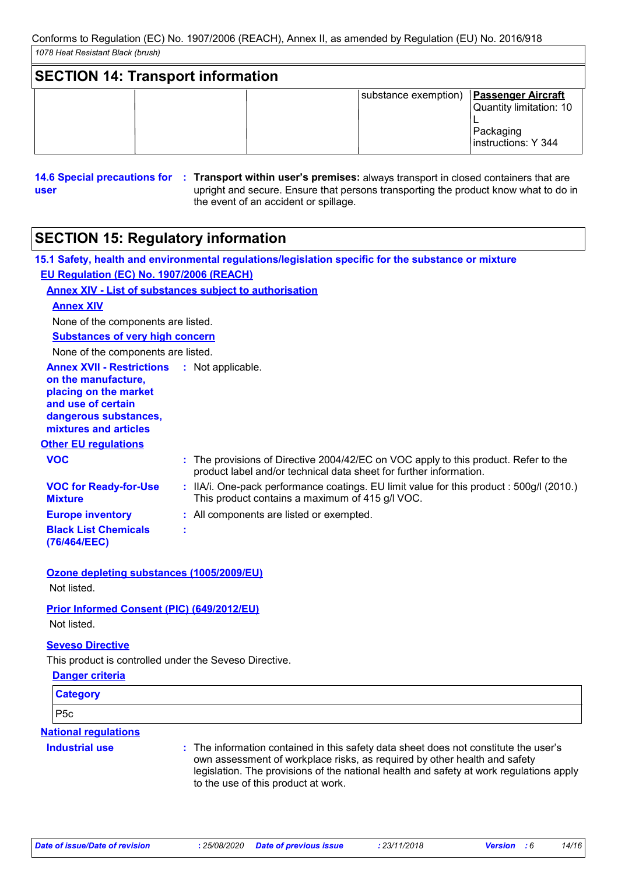| <b>SECTION 14: Transport information</b> |                      |                                                                                          |
|------------------------------------------|----------------------|------------------------------------------------------------------------------------------|
|                                          | substance exemption) | <b>Passenger Aircraft</b><br>Quantity limitation: 10<br>Packaging<br>Instructions: Y 344 |

**14.6 Special precautions for : Transport within user's premises: always transport in closed containers that are user** upright and secure. Ensure that persons transporting the product know what to do in the event of an accident or spillage.

# **SECTION 15: Regulatory information**

|                                                                                                                                                                            | 15.1 Safety, health and environmental regulations/legislation specific for the substance or mixture                                                       |  |
|----------------------------------------------------------------------------------------------------------------------------------------------------------------------------|-----------------------------------------------------------------------------------------------------------------------------------------------------------|--|
| EU Regulation (EC) No. 1907/2006 (REACH)                                                                                                                                   |                                                                                                                                                           |  |
|                                                                                                                                                                            | <b>Annex XIV - List of substances subject to authorisation</b>                                                                                            |  |
| <b>Annex XIV</b>                                                                                                                                                           |                                                                                                                                                           |  |
| None of the components are listed.                                                                                                                                         |                                                                                                                                                           |  |
| <b>Substances of very high concern</b>                                                                                                                                     |                                                                                                                                                           |  |
| None of the components are listed.                                                                                                                                         |                                                                                                                                                           |  |
| <b>Annex XVII - Restrictions : Not applicable.</b><br>on the manufacture,<br>placing on the market<br>and use of certain<br>dangerous substances,<br>mixtures and articles |                                                                                                                                                           |  |
| <b>Other EU regulations</b>                                                                                                                                                |                                                                                                                                                           |  |
| <b>VOC</b>                                                                                                                                                                 | : The provisions of Directive 2004/42/EC on VOC apply to this product. Refer to the<br>product label and/or technical data sheet for further information. |  |
| <b>VOC for Ready-for-Use</b><br><b>Mixture</b>                                                                                                                             | : IIA/i. One-pack performance coatings. EU limit value for this product : 500g/l (2010.)<br>This product contains a maximum of 415 g/l VOC.               |  |
| <b>Europe inventory</b>                                                                                                                                                    | : All components are listed or exempted.                                                                                                                  |  |
| <b>Black List Chemicals</b><br>(76/464/EEC)                                                                                                                                | ÷                                                                                                                                                         |  |
|                                                                                                                                                                            |                                                                                                                                                           |  |

#### **Ozone depleting substances (1005/2009/EU)** Not listed.

# **Prior Informed Consent (PIC) (649/2012/EU)**

Not listed.

# **Seveso Directive**

**Industrial use :**

This product is controlled under the Seveso Directive.

| Danger criteria             |
|-----------------------------|
| <b>Category</b>             |
| P <sub>5c</sub>             |
| <b>National regulations</b> |

#### The information contained in this safety data sheet does not constitute the user's own assessment of workplace risks, as required by other health and safety legislation. The provisions of the national health and safety at work regulations apply to the use of this product at work.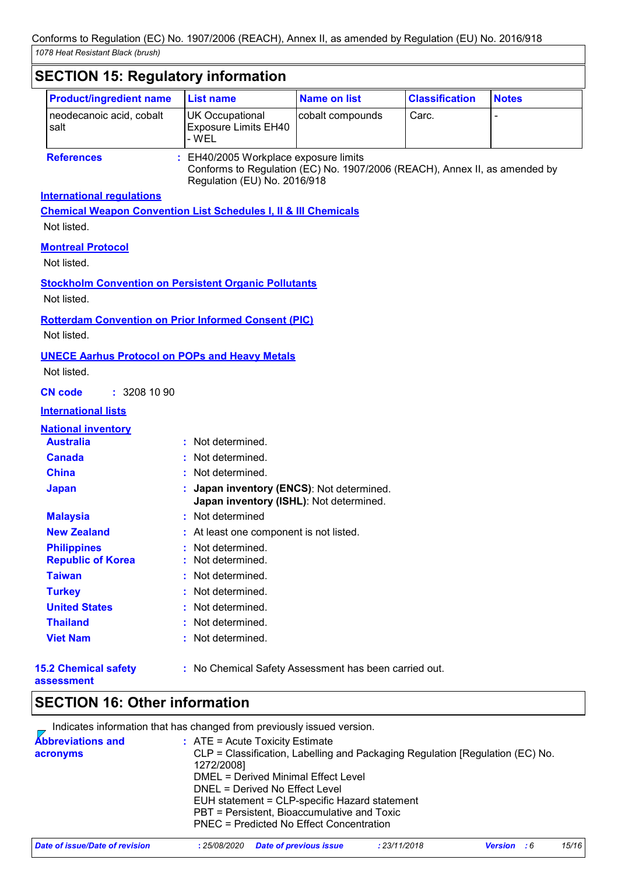٦

| <b>Product/ingredient name</b>                                              | <b>List name</b>                                                                                                                                  | <b>Name on list</b> | <b>Classification</b> | <b>Notes</b> |
|-----------------------------------------------------------------------------|---------------------------------------------------------------------------------------------------------------------------------------------------|---------------------|-----------------------|--------------|
| neodecanoic acid, cobalt<br>salt                                            | <b>UK Occupational</b><br><b>Exposure Limits EH40</b><br>- WEL                                                                                    | cobalt compounds    | Carc.                 |              |
| <b>References</b>                                                           | EH40/2005 Workplace exposure limits<br>Conforms to Regulation (EC) No. 1907/2006 (REACH), Annex II, as amended by<br>Regulation (EU) No. 2016/918 |                     |                       |              |
| <b>International regulations</b>                                            |                                                                                                                                                   |                     |                       |              |
| <b>Chemical Weapon Convention List Schedules I, II &amp; III Chemicals</b>  |                                                                                                                                                   |                     |                       |              |
| Not listed.                                                                 |                                                                                                                                                   |                     |                       |              |
| <b>Montreal Protocol</b>                                                    |                                                                                                                                                   |                     |                       |              |
| Not listed.                                                                 |                                                                                                                                                   |                     |                       |              |
|                                                                             |                                                                                                                                                   |                     |                       |              |
| <b>Stockholm Convention on Persistent Organic Pollutants</b><br>Not listed. |                                                                                                                                                   |                     |                       |              |
| <b>Rotterdam Convention on Prior Informed Consent (PIC)</b>                 |                                                                                                                                                   |                     |                       |              |
| Not listed.                                                                 |                                                                                                                                                   |                     |                       |              |
|                                                                             |                                                                                                                                                   |                     |                       |              |
| <b>UNECE Aarhus Protocol on POPs and Heavy Metals</b><br>Not listed.        |                                                                                                                                                   |                     |                       |              |
| : 32081090<br><b>CN code</b>                                                |                                                                                                                                                   |                     |                       |              |
| <b>International lists</b>                                                  |                                                                                                                                                   |                     |                       |              |
| <b>National inventory</b>                                                   |                                                                                                                                                   |                     |                       |              |
| <b>Australia</b>                                                            | : Not determined.                                                                                                                                 |                     |                       |              |
| <b>Canada</b>                                                               | : Not determined.                                                                                                                                 |                     |                       |              |
| <b>China</b>                                                                | Not determined.                                                                                                                                   |                     |                       |              |
| <b>Japan</b>                                                                | Japan inventory (ENCS): Not determined.<br>Japan inventory (ISHL): Not determined.                                                                |                     |                       |              |
| <b>Malaysia</b>                                                             | : Not determined                                                                                                                                  |                     |                       |              |
| <b>New Zealand</b>                                                          | : At least one component is not listed.                                                                                                           |                     |                       |              |
| <b>Philippines</b>                                                          | Not determined.                                                                                                                                   |                     |                       |              |
| <b>Republic of Korea</b>                                                    | : Not determined.                                                                                                                                 |                     |                       |              |
| <b>Taiwan</b>                                                               | : Not determined.                                                                                                                                 |                     |                       |              |
| <b>Turkey</b>                                                               | : Not determined.                                                                                                                                 |                     |                       |              |
| <b>United States</b>                                                        | : Not determined.                                                                                                                                 |                     |                       |              |
| <b>Thailand</b>                                                             | : Not determined.                                                                                                                                 |                     |                       |              |
| <b>Viet Nam</b>                                                             | : Not determined.                                                                                                                                 |                     |                       |              |
| <b>15.2 Chemical safety</b>                                                 | : No Chemical Safety Assessment has been carried out.                                                                                             |                     |                       |              |

# **SECTION 16: Other information**

|                                      |              | Indicates information that has changed from previously issued version.                                                                                                                                                                                                                                                                  |              |                      |       |
|--------------------------------------|--------------|-----------------------------------------------------------------------------------------------------------------------------------------------------------------------------------------------------------------------------------------------------------------------------------------------------------------------------------------|--------------|----------------------|-------|
| <b>Abbreviations and</b><br>acronyms | 1272/2008]   | $:$ ATE = Acute Toxicity Estimate<br>CLP = Classification, Labelling and Packaging Regulation [Regulation (EC) No.<br>DMEL = Derived Minimal Effect Level<br>DNEL = Derived No Effect Level<br>EUH statement = CLP-specific Hazard statement<br>PBT = Persistent, Bioaccumulative and Toxic<br>PNEC = Predicted No Effect Concentration |              |                      |       |
| Date of issue/Date of revision       | : 25/08/2020 | <b>Date of previous issue</b>                                                                                                                                                                                                                                                                                                           | : 23/11/2018 | :6<br><b>Version</b> | 15/16 |